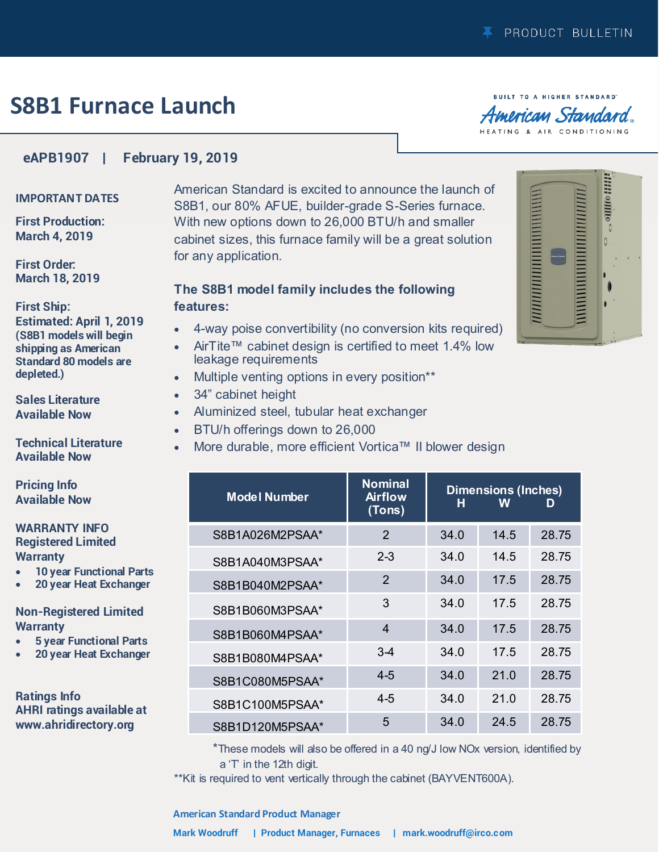# **S8B1 Furnace Launch**

**BUILT TO A HIGHER STANDARD** American Standard. HEATING & AIR CONDITIONING

*пишинн*иннинниннин

**Allie diffe** 

 $\Omega$ 

### **eAPB1907 | February 19, 2019**

#### **IMPORTANT DATES**

**First Production: March 4, 2019**

**First Order: March 18, 2019**

#### **First Ship:**

**Estimated: April 1, 2019 (S8B1 models will begin shipping as American Standard 80 models are depleted.)**

**Sales Literature Available Now**

**Technical Literature Available Now**

**Pricing Info Available Now**

#### **WARRANTY INFO Registered Limited Warranty**

- **10 year Functional Parts**
- **20 year Heat Exchanger**

### **Non-Registered Limited Warranty**

- **5 year Functional Parts**
- **20 year Heat Exchanger**

**Ratings Info AHRI ratings available at www.ahridirectory.org**

American Standard is excited to announce the launch of S8B1, our 80% AFUE, builder-grade S-Series furnace. With new options down to 26,000 BTU/h and smaller cabinet sizes, this furnace family will be a great solution for any application.

## **The S8B1 model family includes the following features:**

- 4-way poise convertibility (no conversion kits required)
- AirTite™ cabinet design is certified to meet 1.4% low leakage requirements
- Multiple venting options in every position\*\*
- 34" cabinet height
- Aluminized steel, tubular heat exchanger
- BTU/h offerings down to 26,000
- More durable, more efficient Vortica™ II blower design

| <b>Model Number</b> | <b>Nominal</b><br><b>Airflow</b><br>(Tons) | н    | <b>Dimensions (Inches)</b><br>W | D     |
|---------------------|--------------------------------------------|------|---------------------------------|-------|
| S8B1A026M2PSAA*     | 2                                          | 34.0 | 14.5                            | 28.75 |
| S8B1A040M3PSAA*     | $2 - 3$                                    | 34.0 | 14.5                            | 28.75 |
| S8B1B040M2PSAA*     | $\mathcal{P}$                              | 34.0 | 17.5                            | 28.75 |
| S8B1B060M3PSAA*     | 3                                          | 34.0 | 17.5                            | 28.75 |
| S8B1B060M4PSAA*     | 4                                          | 34.0 | 17.5                            | 28.75 |
| S8B1B080M4PSAA*     | $3-4$                                      | 34.0 | 17.5                            | 28.75 |
| S8B1C080M5PSAA*     | $4 - 5$                                    | 34.0 | 21.0                            | 28.75 |
| S8B1C100M5PSAA*     | 4-5                                        | 34.0 | 21.0                            | 28.75 |
| S8B1D120M5PSAA*     | 5                                          | 34.0 | 24.5                            | 28.75 |

\*These models will also be offered in a 40 ng/J low NOx version, identified by a 'T' in the 12th digit.

\*\*Kit is required to vent vertically through the cabinet (BAYVENT600A).

#### **American Standard Product Manager**